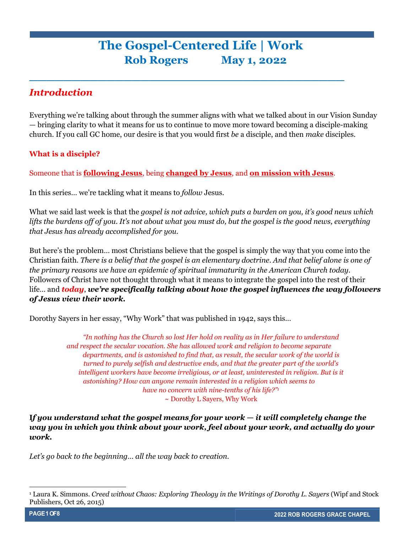# **The Gospel-Centered Life | Work Rob Rogers May 1, 2022**

**\_\_\_\_\_\_\_\_\_\_\_\_\_\_\_\_\_\_\_\_\_\_\_\_\_\_\_\_\_\_\_\_\_\_\_\_\_**

# *Introduction*

Everything we're talking about through the summer aligns with what we talked about in our Vision Sunday — bringing clarity to what it means for us to continue to move more toward becoming a disciple-making church. If you call GC home, our desire is that you would first *be* a disciple, and then *make* disciples.

## **What is a disciple?**

Someone that is **following Jesus**, being **changed by Jesus**, and **on mission with Jesus**.

In this series… we're tackling what it means to *follow* Jesus.

What we said last week is that the *gospel is not advice, which puts a burden on you, it's good news which lifts the burdens off of you*. *It's not about what you must do, but the gospel is the good news, everything that Jesus has already accomplished for you.* 

But here's the problem… most Christians believe that the gospel is simply the way that you come into the Christian faith. *There is a belief that the gospel is an elementary doctrine. And that belief alone is one of the primary reasons we have an epidemic of spiritual immaturity in the American Church today.* Followers of Christ have not thought through what it means to integrate the gospel into the rest of their life… and *today*, *we're specifically talking about how the gospel influences the way followers of Jesus view their work.* 

Dorothy Sayers in her essay, "Why Work" that was published in 1942, says this…

*"In nothing has the Church so lost Her hold on reality as in Her failure to understand and respect the secular vocation. She has allowed work and religion to become separate departments, and is astonished to find that, as result, the secular work of the world is turned to purely selfish and destructive ends, and that the greater part of the world's intelligent workers have become irreligious, or at least, uninterested in religion. But is it astonishing? How can anyone remain interested in a religion which seems to have no concern with nine-tenths of his life?"<sup>1</sup>* ~ Dorothy L Sayers, Why Work

**I***f you understand what the gospel means for your work — it will completely change the way you in which you think about your work, feel about your work, and actually do your work.* 

*Let's go back to the beginning… all the way back to creation.* 

<sup>1</sup> Laura K. Simmons. *Creed without Chaos: Exploring Theology in the Writings of Dorothy L. Sayers* (Wipf and Stock Publishers, Oct 26, 2015)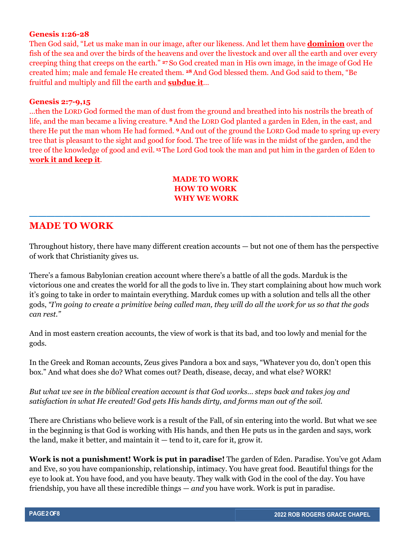#### **Genesis 1:26-28**

Then God said, "Let us make man in our image, after our likeness. And let them have **dominion** over the fish of the sea and over the birds of the heavens and over the livestock and over all the earth and over every creeping thing that creeps on the earth." **<sup>27</sup>** So God created man in His own image, in the image of God He created him; male and female He created them. **<sup>28</sup>** And God blessed them. And God said to them, "Be fruitful and multiply and fill the earth and **subdue it**…

#### **Genesis 2:7-9,15**

…then the LORD God formed the man of dust from the ground and breathed into his nostrils the breath of life, and the man became a living creature. **<sup>8</sup>**And the LORD God planted a garden in Eden, in the east, and there He put the man whom He had formed. **<sup>9</sup>**And out of the ground the LORD God made to spring up every tree that is pleasant to the sight and good for food. The tree of life was in the midst of the garden, and the tree of the knowledge of good and evil. **<sup>15</sup>** The Lord God took the man and put him in the garden of Eden to **work it and keep it**.

### **MADE TO WORK HOW TO WORK WHY WE WORK**

**\_\_\_\_\_\_\_\_\_\_\_\_\_\_\_\_\_\_\_\_\_\_\_\_\_\_\_\_\_\_\_\_\_\_\_\_\_\_\_\_**

# **MADE TO WORK**

Throughout history, there have many different creation accounts — but not one of them has the perspective of work that Christianity gives us.

There's a famous Babylonian creation account where there's a battle of all the gods. Marduk is the victorious one and creates the world for all the gods to live in. They start complaining about how much work it's going to take in order to maintain everything. Marduk comes up with a solution and tells all the other gods, *"I'm going to create a primitive being called man, they will do all the work for us so that the gods can rest."*

And in most eastern creation accounts, the view of work is that its bad, and too lowly and menial for the gods.

In the Greek and Roman accounts, Zeus gives Pandora a box and says, "Whatever you do, don't open this box." And what does she do? What comes out? Death, disease, decay, and what else? WORK!

*But what we see in the biblical creation account is that God works… steps back and takes joy and satisfaction in what He created! God gets His hands dirty, and forms man out of the soil.* 

There are Christians who believe work is a result of the Fall, of sin entering into the world. But what we see in the beginning is that God is working with His hands, and then He puts us in the garden and says, work the land, make it better, and maintain it — tend to it, care for it, grow it.

**Work is not a punishment! Work is put in paradise!** The garden of Eden. Paradise. You've got Adam and Eve, so you have companionship, relationship, intimacy. You have great food. Beautiful things for the eye to look at. You have food, and you have beauty. They walk with God in the cool of the day. You have friendship, you have all these incredible things — *and* you have work. Work is put in paradise.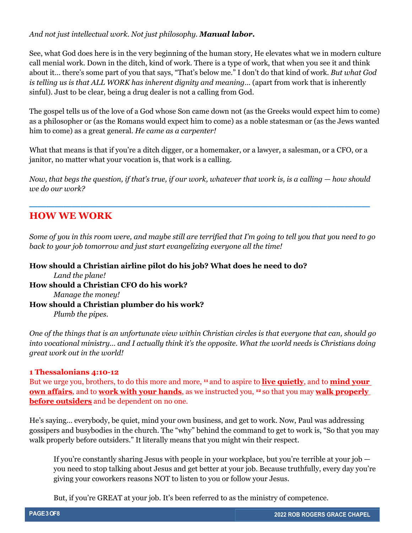#### *And not just intellectual work. Not just philosophy. Manual labor.*

See, what God does here is in the very beginning of the human story, He elevates what we in modern culture call menial work. Down in the ditch, kind of work. There is a type of work, that when you see it and think about it… there's some part of you that says, "That's below me." I don't do that kind of work. *But what God is telling us is that ALL WORK has inherent dignity and meaning*… (apart from work that is inherently sinful). Just to be clear, being a drug dealer is not a calling from God.

The gospel tells us of the love of a God whose Son came down not (as the Greeks would expect him to come) as a philosopher or (as the Romans would expect him to come) as a noble statesman or (as the Jews wanted him to come) as a great general. *He came as a carpenter!* 

What that means is that if you're a ditch digger, or a homemaker, or a lawyer, a salesman, or a CFO, or a janitor, no matter what your vocation is, that work is a calling.

*Now, that begs the question, if that's true, if our work, whatever that work is, is a calling — how should we do our work?* 

**\_\_\_\_\_\_\_\_\_\_\_\_\_\_\_\_\_\_\_\_\_\_\_\_\_\_\_\_\_\_\_\_\_\_\_\_\_\_\_\_**

# **HOW WE WORK**

*Some of you in this room were, and maybe still are terrified that I'm going to tell you that you need to go back to your job tomorrow and just start evangelizing everyone all the time!*

## **How should a Christian airline pilot do his job? What does he need to do?**  *Land the plane!*  **How should a Christian CFO do his work?**  *Manage the money!*  **How should a Christian plumber do his work?**  *Plumb the pipes.*

*One of the things that is an unfortunate view within Christian circles is that everyone that can, should go into vocational ministry… and I actually think it's the opposite. What the world needs is Christians doing great work out in the world!* 

#### **1 Thessalonians 4:10-12**

But we urge you, brothers, to do this more and more, **<sup>11</sup>** and to aspire to **live quietly**, and to **mind your <u>own affairs</u>**, and to **work with your hands**, as we instructed you, <sup>12</sup> so that you may **walk properly before outsiders** and be dependent on no one.

He's saying… everybody, be quiet, mind your own business, and get to work. Now, Paul was addressing gossipers and busybodies in the church. The "why" behind the command to get to work is, "So that you may walk properly before outsiders." It literally means that you might win their respect.

If you're constantly sharing Jesus with people in your workplace, but you're terrible at your job you need to stop talking about Jesus and get better at your job. Because truthfully, every day you're giving your coworkers reasons NOT to listen to you or follow your Jesus.

But, if you're GREAT at your job. It's been referred to as the ministry of competence.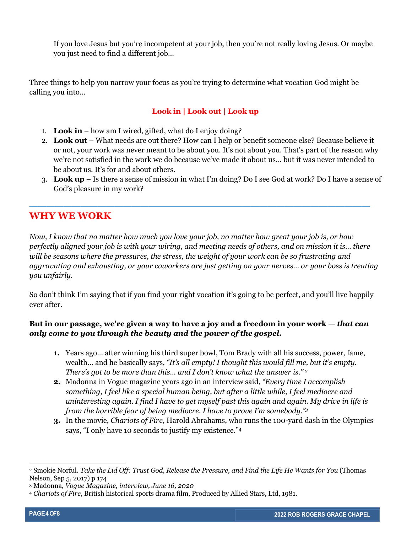If you love Jesus but you're incompetent at your job, then you're not really loving Jesus. Or maybe you just need to find a different job…

Three things to help you narrow your focus as you're trying to determine what vocation God might be calling you into…

# **Look in | Look out | Look up**

- 1. **Look in** how am I wired, gifted, what do I enjoy doing?
- 2. **Look out** What needs are out there? How can I help or benefit someone else? Because believe it or not, your work was never meant to be about you. It's not about you. That's part of the reason why we're not satisfied in the work we do because we've made it about us… but it was never intended to be about us. It's for and about others.
- 3. **Look up** Is there a sense of mission in what I'm doing? Do I see God at work? Do I have a sense of God's pleasure in my work?

# **WHY WE WORK**

*Now, I know that no matter how much you love your job, no matter how great your job is, or how perfectly aligned your job is with your wiring, and meeting needs of others, and on mission it is… there will be seasons where the pressures, the stress, the weight of your work can be so frustrating and aggravating and exhausting, or your coworkers are just getting on your nerves… or your boss is treating you unfairly.* 

**\_\_\_\_\_\_\_\_\_\_\_\_\_\_\_\_\_\_\_\_\_\_\_\_\_\_\_\_\_\_\_\_\_\_\_\_\_\_\_\_**

So don't think I'm saying that if you find your right vocation it's going to be perfect, and you'll live happily ever after.

## **But in our passage, we're given a way to have a joy and a freedom in your work —** *that can only come to you through the beauty and the power of the gospel.*

- **1.** Years ago... after winning his third super bowl, Tom Brady with all his success, power, fame, wealth... and he basically says, *"It's all empty! I thought this would fill me, but it's empty. There's got to be more than this... and I don't know what the answer is." <sup>2</sup>*
- **2.** Madonna in Vogue magazine years ago in an interview said, *"Every time I accomplish something, I feel like a special human being, but after a little while, I feel mediocre and uninteresting again. I find I have to get myself past this again and again. My drive in life is from the horrible fear of being mediocre. I have to prove I'm somebody."<sup>3</sup>*
- **3.** In the movie, *Chariots of Fire*, Harold Abrahams, who runs the 100-yard dash in the Olympics says, "I only have 10 seconds to justify my existence."<sup>4</sup>

<sup>2</sup> Smokie Norful. *Take the Lid Off: Trust God, Release the Pressure, and Find the Life He Wants for You* (Thomas Nelson, Sep 5, 2017) p 174

<sup>3</sup> Madonna, *Vogue Magazine, interview, June 16, 2020*

<sup>4</sup> *Chariots of Fire*, British historical sports drama film, Produced by Allied Stars, Ltd, 1981.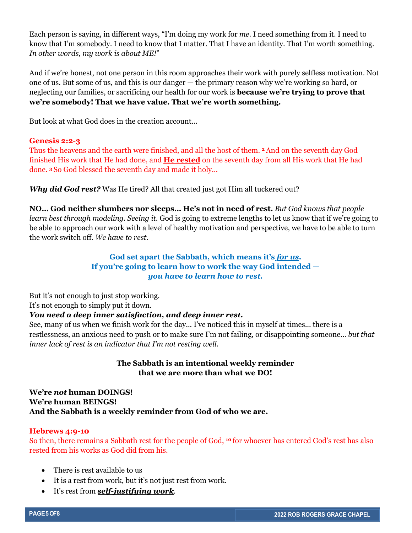Each person is saying, in different ways, "I'm doing my work for *me*. I need something from it. I need to know that I'm somebody. I need to know that I matter. That I have an identity. That I'm worth something. *In other words, my work is about ME!*"

And if we're honest, not one person in this room approaches their work with purely selfless motivation. Not one of us. But some of us, and this is our danger — the primary reason why we're working so hard, or neglecting our families, or sacrificing our health for our work is **because we're trying to prove that we're somebody! That we have value. That we're worth something.**

But look at what God does in the creation account…

#### **Genesis 2:2-3**

Thus the heavens and the earth were finished, and all the host of them. **<sup>2</sup>**And on the seventh day God finished His work that He had done, and **He rested** on the seventh day from all His work that He had done. **<sup>3</sup>**So God blessed the seventh day and made it holy…

*Why did God rest?* Was He tired? All that created just got Him all tuckered out?

**NO… God neither slumbers nor sleeps… He's not in need of rest.** *But God knows that people learn best through modeling. Seeing it.* God is going to extreme lengths to let us know that if we're going to be able to approach our work with a level of healthy motivation and perspective, we have to be able to turn the work switch off. *We have to rest.* 

### **God set apart the Sabbath, which means it's** *for us***. If you're going to learn how to work the way God intended**  *you have to learn how to rest.*

But it's not enough to just stop working.

It's not enough to simply put it down.

### *You need a deep inner satisfaction, and deep inner rest.*

See, many of us when we finish work for the day... I've noticed this in myself at times... there is a restlessness, an anxious need to push or to make sure I'm not failing, or disappointing someone... *but that inner lack of rest is an indicator that I'm not resting well.*

### **The Sabbath is an intentional weekly reminder that we are more than what we DO!**

**We're** *not* **human DOINGS! We're human BEINGS! And the Sabbath is a weekly reminder from God of who we are.** 

#### **Hebrews 4:9-10**

So then, there remains a Sabbath rest for the people of God, **<sup>10</sup>** for whoever has entered God's rest has also rested from his works as God did from his.

- There is rest available to us
- It is a rest from work, but it's not just rest from work.
- It's rest from *self-justifying work*.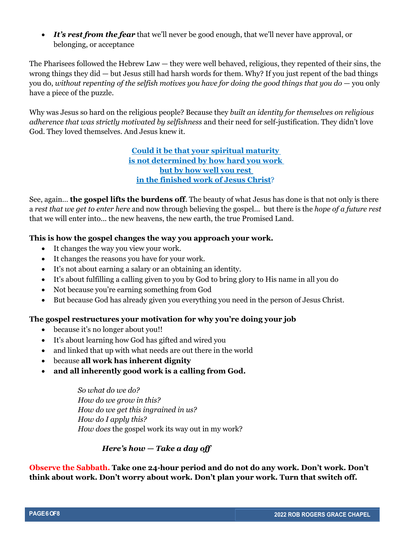• *It's rest from the fear* that we'll never be good enough, that we'll never have approval, or belonging, or acceptance

The Pharisees followed the Hebrew Law — they were well behaved, religious, they repented of their sins, the wrong things they did — but Jesus still had harsh words for them. Why? If you just repent of the bad things you do, *without repenting of the selfish motives you have for doing the good things that you do* — you only have a piece of the puzzle.

Why was Jesus so hard on the religious people? Because they *built an identity for themselves on religious adherence that was strictly motivated by selfishness* and their need for self-justification. They didn't love God. They loved themselves. And Jesus knew it.

> **Could it be that your spiritual maturity is not determined by how hard you work but by how well you rest in the finished work of Jesus Christ**?

See, again… **the gospel lifts the burdens off**. The beauty of what Jesus has done is that not only is there a *rest that we get to enter here* and now through believing the gospel... but there is the *hope of a future rest* that we will enter into... the new heavens, the new earth, the true Promised Land.

#### **This is how the gospel changes the way you approach your work.**

- It changes the way you view your work.
- It changes the reasons you have for your work.
- It's not about earning a salary or an obtaining an identity.
- It's about fulfilling a calling given to you by God to bring glory to His name in all you do
- Not because you're earning something from God
- But because God has already given you everything you need in the person of Jesus Christ.

#### **The gospel restructures your motivation for why you're doing your job**

- because it's no longer about you!!
- It's about learning how God has gifted and wired you
- and linked that up with what needs are out there in the world
- because **all work has inherent dignity**
- **and all inherently good work is a calling from God.**

*So what do we do? How do we grow in this? How do we get this ingrained in us? How do I apply this? How does* the gospel work its way out in my work?

#### *Here's how — Take a day off*

**Observe the Sabbath. Take one 24-hour period and do not do any work. Don't work. Don't think about work. Don't worry about work. Don't plan your work. Turn that switch off.**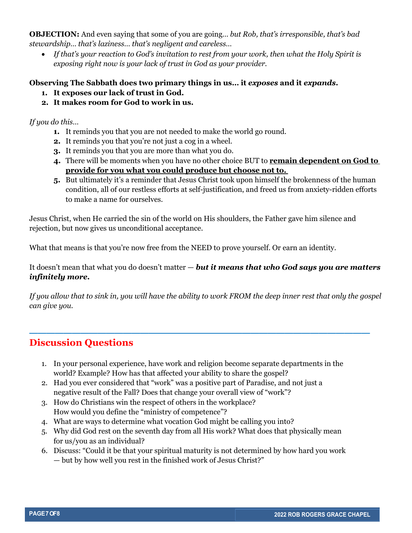**OBJECTION:** And even saying that some of you are going… *but Rob, that's irresponsible, that's bad stewardship… that's laziness… that's negligent and careless…* 

• *If that's your reaction to God's invitation to rest from your work, then what the Holy Spirit is exposing right now is your lack of trust in God as your provider.* 

### **Observing The Sabbath does two primary things in us… it** *exposes* **and it** *expands***.**

- **1. It exposes our lack of trust in God.**
- **2. It makes room for God to work in us.**

*If you do this…* 

- **1.** It reminds you that you are not needed to make the world go round.
- **2.** It reminds you that you're not just a cog in a wheel.
- **3.** It reminds you that you are more than what you do.
- **4.** There will be moments when you have no other choice BUT to **remain dependent on God to provide for you what you could produce but choose not to.**
- **5.** But ultimately it's a reminder that Jesus Christ took upon himself the brokenness of the human condition, all of our restless efforts at self-justification, and freed us from anxiety-ridden efforts to make a name for ourselves.

Jesus Christ, when He carried the sin of the world on His shoulders, the Father gave him silence and rejection, but now gives us unconditional acceptance.

What that means is that you're now free from the NEED to prove yourself. Or earn an identity.

It doesn't mean that what you do doesn't matter — *but it means that who God says you are matters infinitely more.*

*If you allow that to sink in, you will have the ability to work FROM the deep inner rest that only the gospel can give you.* 

**\_\_\_\_\_\_\_\_\_\_\_\_\_\_\_\_\_\_\_\_\_\_\_\_\_\_\_\_\_\_\_\_\_\_\_\_\_\_\_\_**

# **Discussion Questions**

- 1. In your personal experience, have work and religion become separate departments in the world? Example? How has that affected your ability to share the gospel?
- 2. Had you ever considered that "work" was a positive part of Paradise, and not just a negative result of the Fall? Does that change your overall view of "work"?
- 3. How do Christians win the respect of others in the workplace? How would you define the "ministry of competence"?
- 4. What are ways to determine what vocation God might be calling you into?
- 5. Why did God rest on the seventh day from all His work? What does that physically mean for us/you as an individual?
- 6. Discuss: "Could it be that your spiritual maturity is not determined by how hard you work — but by how well you rest in the finished work of Jesus Christ?"